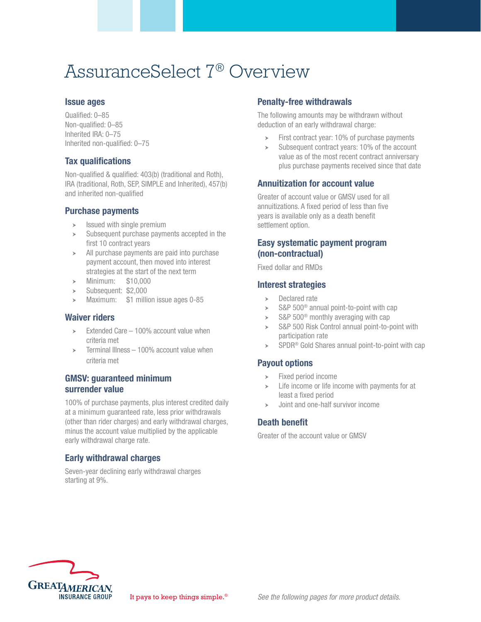# AssuranceSelect 7® Overview

#### Issue ages

Qualified: 0–85 Non-qualified: 0–85 Inherited IRA: 0–75 Inherited non-qualified: 0–75

# Tax qualifications

Non-qualified & qualified: 403(b) (traditional and Roth), IRA (traditional, Roth, SEP, SIMPLE and Inherited), 457(b) and inherited non-qualified

#### Purchase payments

- $\triangleright$  Issued with single premium
- Subsequent purchase payments accepted in the first 10 contract years
- $\geq$  All purchase payments are paid into purchase payment account, then moved into interest strategies at the start of the next term
- $\blacktriangleright$  Minimum: \$10,000
- $\blacktriangleright$  Subsequent: \$2,000
- $\geq$  Maximum: \$1 million issue ages 0-85

# Waiver riders

- **Extended Care 100% account value when** criteria met
- $\ge$  Terminal Illness 100% account value when criteria met

#### GMSV: guaranteed minimum surrender value

100% of purchase payments, plus interest credited daily at a minimum guaranteed rate, less prior withdrawals (other than rider charges) and early withdrawal charges, minus the account value multiplied by the applicable early withdrawal charge rate.

# Early withdrawal charges

Seven-year declining early withdrawal charges starting at 9%.

#### Penalty-free withdrawals

The following amounts may be withdrawn without deduction of an early withdrawal charge:

- $\triangleright$  First contract year: 10% of purchase payments
- Subsequent contract years: 10% of the account value as of the most recent contract anniversary plus purchase payments received since that date

# Annuitization for account value

Greater of account value or GMSV used for all annuitizations. A fixed period of less than five years is available only as a death benefit settlement option.

#### Easy systematic payment program (non-contractual)

Fixed dollar and RMDs

#### Interest strategies

- Declared rate
- S&P 500<sup>®</sup> annual point-to-point with cap
- $\blacktriangleright$  S&P 500<sup>®</sup> monthly averaging with cap
- $\triangleright$  S&P 500 Risk Control annual point-to-point with participation rate
- $\triangleright$  SPDR<sup>®</sup> Gold Shares annual point-to-point with cap

# Payout options

- $\blacktriangleright$  Fixed period income
- $\geq$  Life income or life income with payments for at least a fixed period
- Joint and one-half survivor income

# Death benefit

Greater of the account value or GMSV

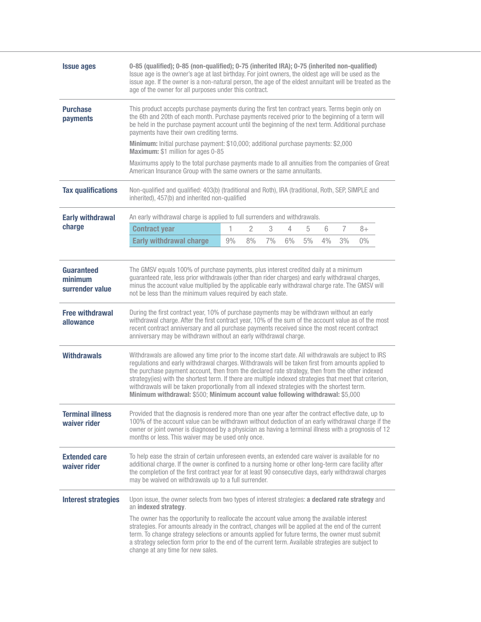| <b>Issue ages</b>                                                                       | 0-85 (qualified); 0-85 (non-qualified); 0-75 (inherited IRA); 0-75 (inherited non-qualified)<br>Issue age is the owner's age at last birthday. For joint owners, the oldest age will be used as the<br>issue age. If the owner is a non-natural person, the age of the eldest annuitant will be treated as the<br>age of the owner for all purposes under this contract.                                                                                                                                                                                                                                                                                                                                                                                                                                                                                                                                                                                                                                                                                                                                                                                                                                                                                    |    |                |    |    |       |    |    |    |  |
|-----------------------------------------------------------------------------------------|-------------------------------------------------------------------------------------------------------------------------------------------------------------------------------------------------------------------------------------------------------------------------------------------------------------------------------------------------------------------------------------------------------------------------------------------------------------------------------------------------------------------------------------------------------------------------------------------------------------------------------------------------------------------------------------------------------------------------------------------------------------------------------------------------------------------------------------------------------------------------------------------------------------------------------------------------------------------------------------------------------------------------------------------------------------------------------------------------------------------------------------------------------------------------------------------------------------------------------------------------------------|----|----------------|----|----|-------|----|----|----|--|
| <b>Purchase</b><br>payments                                                             | This product accepts purchase payments during the first ten contract years. Terms begin only on<br>the 6th and 20th of each month. Purchase payments received prior to the beginning of a term will<br>be held in the purchase payment account until the beginning of the next term. Additional purchase<br>payments have their own crediting terms.<br><b>Minimum:</b> Initial purchase payment: \$10,000; additional purchase payments: \$2,000<br>Maximum: \$1 million for ages 0-85<br>Maximums apply to the total purchase payments made to all annuities from the companies of Great<br>American Insurance Group with the same owners or the same annuitants.                                                                                                                                                                                                                                                                                                                                                                                                                                                                                                                                                                                         |    |                |    |    |       |    |    |    |  |
|                                                                                         |                                                                                                                                                                                                                                                                                                                                                                                                                                                                                                                                                                                                                                                                                                                                                                                                                                                                                                                                                                                                                                                                                                                                                                                                                                                             |    |                |    |    |       |    |    |    |  |
|                                                                                         |                                                                                                                                                                                                                                                                                                                                                                                                                                                                                                                                                                                                                                                                                                                                                                                                                                                                                                                                                                                                                                                                                                                                                                                                                                                             |    |                |    |    |       |    |    |    |  |
| <b>Tax qualifications</b>                                                               | Non-qualified and qualified: 403(b) (traditional and Roth), IRA (traditional, Roth, SEP, SIMPLE and<br>inherited), 457(b) and inherited non-qualified                                                                                                                                                                                                                                                                                                                                                                                                                                                                                                                                                                                                                                                                                                                                                                                                                                                                                                                                                                                                                                                                                                       |    |                |    |    |       |    |    |    |  |
| <b>Early withdrawal</b>                                                                 | An early withdrawal charge is applied to full surrenders and withdrawals.                                                                                                                                                                                                                                                                                                                                                                                                                                                                                                                                                                                                                                                                                                                                                                                                                                                                                                                                                                                                                                                                                                                                                                                   |    |                |    |    |       |    |    |    |  |
| charge                                                                                  | <b>Contract year</b>                                                                                                                                                                                                                                                                                                                                                                                                                                                                                                                                                                                                                                                                                                                                                                                                                                                                                                                                                                                                                                                                                                                                                                                                                                        | 1  | $\overline{2}$ | 3  | 4  | 5     | 6  | 7  | 8+ |  |
|                                                                                         | <b>Early withdrawal charge</b>                                                                                                                                                                                                                                                                                                                                                                                                                                                                                                                                                                                                                                                                                                                                                                                                                                                                                                                                                                                                                                                                                                                                                                                                                              | 9% | 8%             | 7% | 6% | $5\%$ | 4% | 3% | 0% |  |
| minimum<br>surrender value<br><b>Free withdrawal</b><br>allowance<br><b>Withdrawals</b> | guaranteed rate, less prior withdrawals (other than rider charges) and early withdrawal charges,<br>minus the account value multiplied by the applicable early withdrawal charge rate. The GMSV will<br>not be less than the minimum values required by each state.<br>During the first contract year, 10% of purchase payments may be withdrawn without an early<br>withdrawal charge. After the first contract year, 10% of the sum of the account value as of the most<br>recent contract anniversary and all purchase payments received since the most recent contract<br>anniversary may be withdrawn without an early withdrawal charge.<br>Withdrawals are allowed any time prior to the income start date. All withdrawals are subject to IRS<br>regulations and early withdrawal charges. Withdrawals will be taken first from amounts applied to<br>the purchase payment account, then from the declared rate strategy, then from the other indexed<br>strategy(ies) with the shortest term. If there are multiple indexed strategies that meet that criterion,<br>withdrawals will be taken proportionally from all indexed strategies with the shortest term.<br>Minimum withdrawal: \$500; Minimum account value following withdrawal: \$5,000 |    |                |    |    |       |    |    |    |  |
| Terminal illness<br>waiver rider                                                        | Provided that the diagnosis is rendered more than one year after the contract effective date, up to<br>100% of the account value can be withdrawn without deduction of an early withdrawal charge if the<br>owner or joint owner is diagnosed by a physician as having a terminal illness with a prognosis of 12<br>months or less. This waiver may be used only once.                                                                                                                                                                                                                                                                                                                                                                                                                                                                                                                                                                                                                                                                                                                                                                                                                                                                                      |    |                |    |    |       |    |    |    |  |
| <b>Extended care</b><br>waiver rider                                                    | To help ease the strain of certain unforeseen events, an extended care waiver is available for no<br>additional charge. If the owner is confined to a nursing home or other long-term care facility after<br>the completion of the first contract year for at least 90 consecutive days, early withdrawal charges<br>may be waived on withdrawals up to a full surrender.                                                                                                                                                                                                                                                                                                                                                                                                                                                                                                                                                                                                                                                                                                                                                                                                                                                                                   |    |                |    |    |       |    |    |    |  |
| <b>Interest strategies</b>                                                              | Upon issue, the owner selects from two types of interest strategies: a declared rate strategy and<br>an indexed strategy.                                                                                                                                                                                                                                                                                                                                                                                                                                                                                                                                                                                                                                                                                                                                                                                                                                                                                                                                                                                                                                                                                                                                   |    |                |    |    |       |    |    |    |  |
|                                                                                         | The owner has the opportunity to reallocate the account value among the available interest<br>strategies. For amounts already in the contract, changes will be applied at the end of the current<br>term. To change strategy selections or amounts applied for future terms, the owner must submit<br>a strategy selection form prior to the end of the current term. Available strategies are subject to<br>change at any time for new sales.                                                                                                                                                                                                                                                                                                                                                                                                                                                                                                                                                                                                                                                                                                                                                                                                              |    |                |    |    |       |    |    |    |  |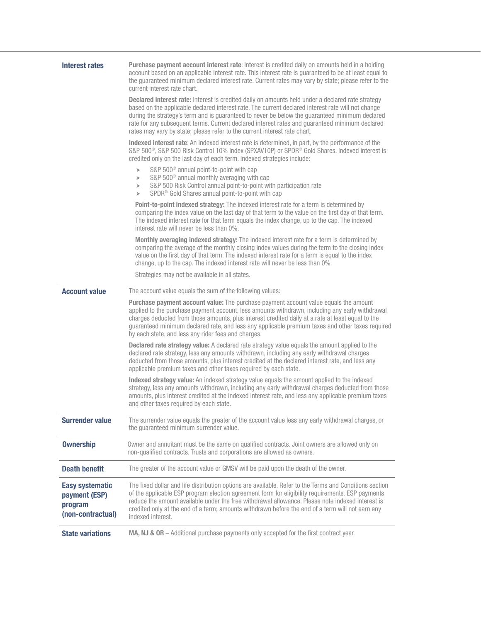| <b>Interest rates</b>                                                   | <b>Purchase payment account interest rate:</b> Interest is credited daily on amounts held in a holding<br>account based on an applicable interest rate. This interest rate is guaranteed to be at least equal to<br>the guaranteed minimum declared interest rate. Current rates may vary by state; please refer to the<br>current interest rate chart.                                                                                                                                         |  |  |  |  |
|-------------------------------------------------------------------------|-------------------------------------------------------------------------------------------------------------------------------------------------------------------------------------------------------------------------------------------------------------------------------------------------------------------------------------------------------------------------------------------------------------------------------------------------------------------------------------------------|--|--|--|--|
|                                                                         | <b>Declared interest rate:</b> Interest is credited daily on amounts held under a declared rate strategy<br>based on the applicable declared interest rate. The current declared interest rate will not change<br>during the strategy's term and is guaranteed to never be below the guaranteed minimum declared<br>rate for any subsequent terms. Current declared interest rates and guaranteed minimum declared<br>rates may vary by state; please refer to the current interest rate chart. |  |  |  |  |
|                                                                         | Indexed interest rate: An indexed interest rate is determined, in part, by the performance of the<br>S&P 500 <sup>®</sup> , S&P 500 Risk Control 10% Index (SPXAV10P) or SPDR <sup>®</sup> Gold Shares. Indexed interest is<br>credited only on the last day of each term. Indexed strategies include:                                                                                                                                                                                          |  |  |  |  |
|                                                                         | S&P 500 <sup>®</sup> annual point-to-point with cap<br>$\blacktriangleright$<br>S&P 500 <sup>®</sup> annual monthly averaging with cap<br>$\blacktriangleright$<br>S&P 500 Risk Control annual point-to-point with participation rate<br>$\blacktriangleright$<br>SPDR <sup>®</sup> Gold Shares annual point-to-point with cap<br>$\blacktriangleright$                                                                                                                                         |  |  |  |  |
|                                                                         | Point-to-point indexed strategy: The indexed interest rate for a term is determined by<br>comparing the index value on the last day of that term to the value on the first day of that term.<br>The indexed interest rate for that term equals the index change, up to the cap. The indexed<br>interest rate will never be less than 0%.                                                                                                                                                        |  |  |  |  |
|                                                                         | Monthly averaging indexed strategy: The indexed interest rate for a term is determined by<br>comparing the average of the monthly closing index values during the term to the closing index<br>value on the first day of that term. The indexed interest rate for a term is equal to the index<br>change, up to the cap. The indexed interest rate will never be less than 0%.                                                                                                                  |  |  |  |  |
|                                                                         | Strategies may not be available in all states.                                                                                                                                                                                                                                                                                                                                                                                                                                                  |  |  |  |  |
| <b>Account value</b>                                                    | The account value equals the sum of the following values:                                                                                                                                                                                                                                                                                                                                                                                                                                       |  |  |  |  |
|                                                                         | <b>Purchase payment account value:</b> The purchase payment account value equals the amount<br>applied to the purchase payment account, less amounts withdrawn, including any early withdrawal<br>charges deducted from those amounts, plus interest credited daily at a rate at least equal to the<br>guaranteed minimum declared rate, and less any applicable premium taxes and other taxes required<br>by each state, and less any rider fees and charges.                                  |  |  |  |  |
|                                                                         | <b>Declared rate strategy value:</b> A declared rate strategy value equals the amount applied to the<br>declared rate strategy, less any amounts withdrawn, including any early withdrawal charges<br>deducted from those amounts, plus interest credited at the declared interest rate, and less any<br>applicable premium taxes and other taxes required by each state.                                                                                                                       |  |  |  |  |
|                                                                         | Indexed strategy value: An indexed strategy value equals the amount applied to the indexed<br>strategy, less any amounts withdrawn, including any early withdrawal charges deducted from those<br>amounts, plus interest credited at the indexed interest rate, and less any applicable premium taxes<br>and other taxes required by each state.                                                                                                                                                |  |  |  |  |
| <b>Surrender value</b>                                                  | The surrender value equals the greater of the account value less any early withdrawal charges, or<br>the guaranteed minimum surrender value.                                                                                                                                                                                                                                                                                                                                                    |  |  |  |  |
| <b>Ownership</b>                                                        | Owner and annuitant must be the same on qualified contracts. Joint owners are allowed only on<br>non-qualified contracts. Trusts and corporations are allowed as owners.                                                                                                                                                                                                                                                                                                                        |  |  |  |  |
| <b>Death benefit</b>                                                    | The greater of the account value or GMSV will be paid upon the death of the owner.                                                                                                                                                                                                                                                                                                                                                                                                              |  |  |  |  |
| <b>Easy systematic</b><br>payment (ESP)<br>program<br>(non-contractual) | The fixed dollar and life distribution options are available. Refer to the Terms and Conditions section<br>of the applicable ESP program election agreement form for eligibility requirements. ESP payments<br>reduce the amount available under the free withdrawal allowance. Please note indexed interest is<br>credited only at the end of a term; amounts withdrawn before the end of a term will not earn any<br>indexed interest.                                                        |  |  |  |  |
| <b>State variations</b>                                                 | MA, NJ & OR - Additional purchase payments only accepted for the first contract year.                                                                                                                                                                                                                                                                                                                                                                                                           |  |  |  |  |